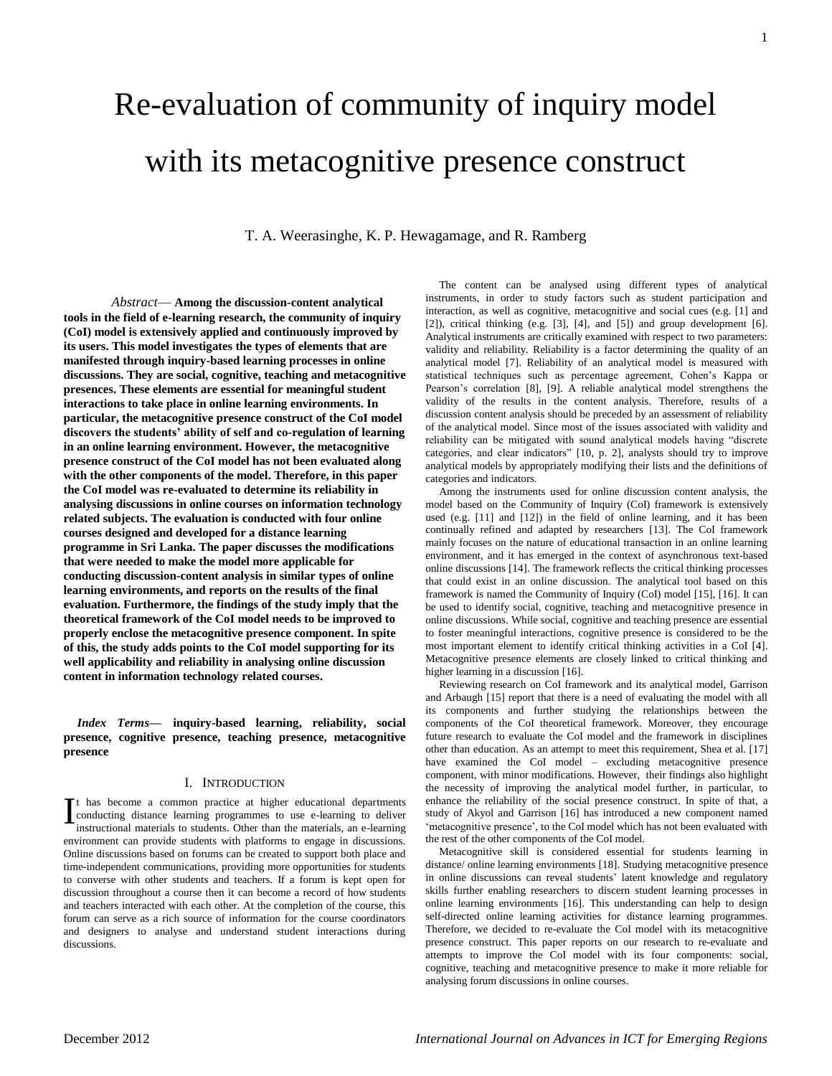# Re-evaluation of community of inquiry model with its metacognitive presence construct

T. A. Weerasinghe, K. P. Hewagamage, and R. Ramberg

*Abstract*— **Among the discussion-content analytical tools in the field of e-learning research, the community of inquiry (CoI) model is extensively applied and continuously improved by its users. This model investigates the types of elements that are manifested through inquiry-based learning processes in online discussions. They are social, cognitive, teaching and metacognitive presences. These elements are essential for meaningful student interactions to take place in online learning environments. In particular, the metacognitive presence construct of the CoI model discovers the students' ability of self and co-regulation of learning in an online learning environment. However, the metacognitive presence construct of the CoI model has not been evaluated along with the other components of the model. Therefore, in this paper the CoI model was re-evaluated to determine its reliability in analysing discussions in online courses on information technology related subjects. The evaluation is conducted with four online courses designed and developed for a distance learning programme in Sri Lanka. The paper discusses the modifications that were needed to make the model more applicable for conducting discussion-content analysis in similar types of online learning environments, and reports on the results of the final evaluation. Furthermore, the findings of the study imply that the theoretical framework of the CoI model needs to be improved to properly enclose the metacognitive presence component. In spite of this, the study adds points to the CoI model supporting for its well applicability and reliability in analysing online discussion content in information technology related courses.** 

*Index Terms***— inquiry-based learning, reliability, social presence, cognitive presence, teaching presence, metacognitive presence** 

#### I. INTRODUCTION

t has become a common practice at higher educational departments It has become a common practice at higher educational departments<br>
conducting distance learning programmes to use e-learning to deliver<br>
instructional materials to students Other than the materials an e-learning instructional materials to students. Other than the materials, an e-learning environment can provide students with platforms to engage in discussions. Online discussions based on forums can be created to support both place and time-independent communications, providing more opportunities for students to converse with other students and teachers. If a forum is kept open for discussion throughout a course then it can become a record of how students and teachers interacted with each other. At the completion of the course, this forum can serve as a rich source of information for the course coordinators and designers to analyse and understand student interactions during discussions.

The content can be analysed using different types of analytical instruments, in order to study factors such as student participation and interaction, as well as cognitive, metacognitive and social cues (e.g. [1] and [2]), critical thinking (e.g. [3], [4], and [5]) and group development [6]. Analytical instruments are critically examined with respect to two parameters: validity and reliability. Reliability is a factor determining the quality of an analytical model [7]. Reliability of an analytical model is measured with statistical techniques such as percentage agreement, Cohen's Kappa or Pearson's correlation [8], [9]. A reliable analytical model strengthens the validity of the results in the content analysis. Therefore, results of a discussion content analysis should be preceded by an assessment of reliability of the analytical model. Since most of the issues associated with validity and reliability can be mitigated with sound analytical models having "discrete categories, and clear indicators" [10, p. 2], analysts should try to improve analytical models by appropriately modifying their lists and the definitions of categories and indicators.

Among the instruments used for online discussion content analysis, the model based on the Community of Inquiry (CoI) framework is extensively used (e.g. [11] and [12]) in the field of online learning, and it has been continually refined and adapted by researchers [13]. The CoI framework mainly focuses on the nature of educational transaction in an online learning environment, and it has emerged in the context of asynchronous text-based online discussions [14]. The framework reflects the critical thinking processes that could exist in an online discussion. The analytical tool based on this framework is named the Community of Inquiry (CoI) model [15], [16]. It can be used to identify social, cognitive, teaching and metacognitive presence in online discussions. While social, cognitive and teaching presence are essential to foster meaningful interactions, cognitive presence is considered to be the most important element to identify critical thinking activities in a CoI [4]. Metacognitive presence elements are closely linked to critical thinking and higher learning in a discussion [16].

Reviewing research on CoI framework and its analytical model, Garrison and Arbaugh [15] report that there is a need of evaluating the model with all its components and further studying the relationships between the components of the CoI theoretical framework. Moreover, they encourage future research to evaluate the CoI model and the framework in disciplines other than education. As an attempt to meet this requirement, Shea et al. [17] have examined the CoI model – excluding metacognitive presence component, with minor modifications. However, their findings also highlight the necessity of improving the analytical model further, in particular, to enhance the reliability of the social presence construct. In spite of that, a study of Akyol and Garrison [16] has introduced a new component named 'metacognitive presence', to the CoI model which has not been evaluated with the rest of the other components of the CoI model.

Metacognitive skill is considered essential for students learning in distance/ online learning environments [18]. Studying metacognitive presence in online discussions can reveal students' latent knowledge and regulatory skills further enabling researchers to discern student learning processes in online learning environments [16]. This understanding can help to design self-directed online learning activities for distance learning programmes. Therefore, we decided to re-evaluate the CoI model with its metacognitive presence construct. This paper reports on our research to re-evaluate and attempts to improve the CoI model with its four components: social, cognitive, teaching and metacognitive presence to make it more reliable for analysing forum discussions in online courses.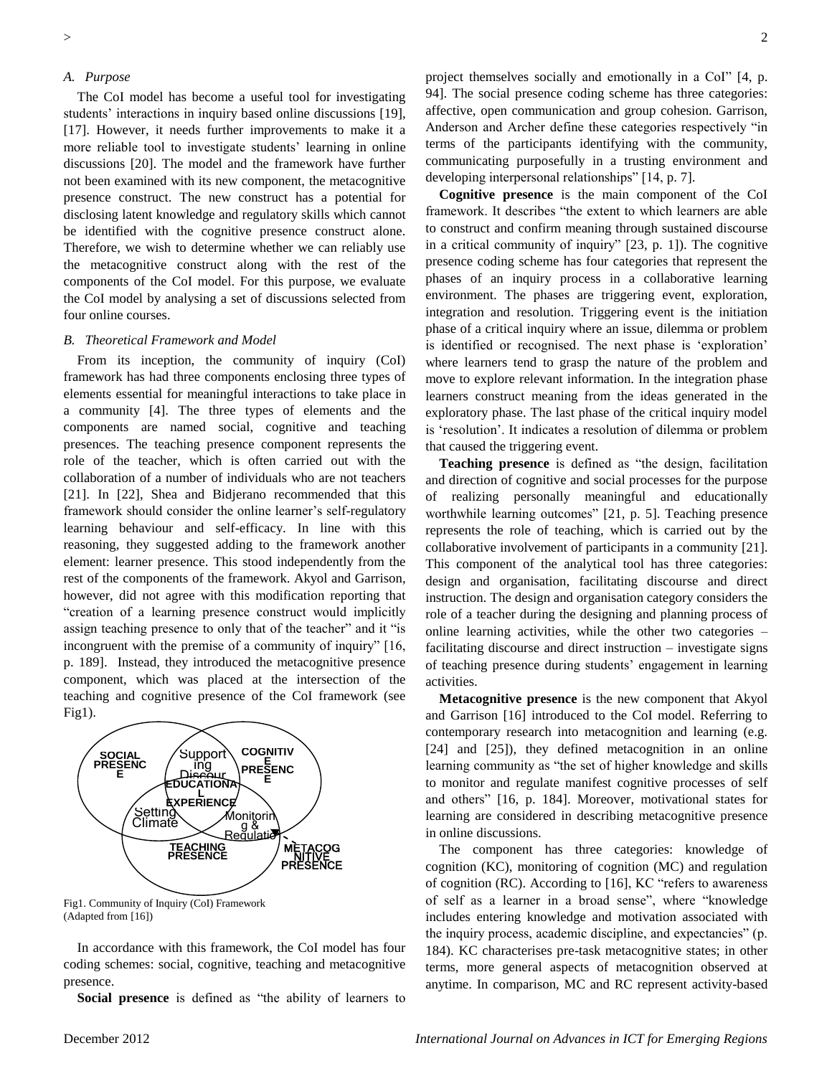#### *A. Purpose*

The CoI model has become a useful tool for investigating students' interactions in inquiry based online discussions [19], [17]. However, it needs further improvements to make it a more reliable tool to investigate students' learning in online discussions [20]. The model and the framework have further not been examined with its new component, the metacognitive presence construct. The new construct has a potential for disclosing latent knowledge and regulatory skills which cannot be identified with the cognitive presence construct alone. Therefore, we wish to determine whether we can reliably use the metacognitive construct along with the rest of the components of the CoI model. For this purpose, we evaluate the CoI model by analysing a set of discussions selected from four online courses.

### *B. Theoretical Framework and Model*

From its inception, the community of inquiry (CoI) framework has had three components enclosing three types of elements essential for meaningful interactions to take place in a community [4]. The three types of elements and the components are named social, cognitive and teaching presences. The teaching presence component represents the role of the teacher, which is often carried out with the collaboration of a number of individuals who are not teachers [21]. In [22], Shea and Bidjerano recommended that this framework should consider the online learner's self-regulatory learning behaviour and self-efficacy. In line with this reasoning, they suggested adding to the framework another element: learner presence. This stood independently from the rest of the components of the framework. Akyol and Garrison, however, did not agree with this modification reporting that "creation of a learning presence construct would implicitly assign teaching presence to only that of the teacher" and it "is incongruent with the premise of a community of inquiry"  $[16, 16]$ p. 189]. Instead, they introduced the metacognitive presence component, which was placed at the intersection of the teaching and cognitive presence of the CoI framework (see Fig1).



Fig1. Community of Inquiry (CoI) Framework (Adapted from [16])

In accordance with this framework, the CoI model has four coding schemes: social, cognitive, teaching and metacognitive presence.

**Social presence** is defined as "the ability of learners to

project themselves socially and emotionally in a CoI" [4, p. 94]. The social presence coding scheme has three categories: affective, open communication and group cohesion. Garrison, Anderson and Archer define these categories respectively "in terms of the participants identifying with the community, communicating purposefully in a trusting environment and developing interpersonal relationships" [14, p. 7].

**Cognitive presence** is the main component of the CoI framework. It describes "the extent to which learners are able to construct and confirm meaning through sustained discourse in a critical community of inquiry"  $[23, p. 1]$ ). The cognitive presence coding scheme has four categories that represent the phases of an inquiry process in a collaborative learning environment. The phases are triggering event, exploration, integration and resolution. Triggering event is the initiation phase of a critical inquiry where an issue, dilemma or problem is identified or recognised. The next phase is 'exploration' where learners tend to grasp the nature of the problem and move to explore relevant information. In the integration phase learners construct meaning from the ideas generated in the exploratory phase. The last phase of the critical inquiry model is ‗resolution'. It indicates a resolution of dilemma or problem that caused the triggering event.

**Teaching presence** is defined as "the design, facilitation and direction of cognitive and social processes for the purpose of realizing personally meaningful and educationally worthwhile learning outcomes" [21, p. 5]. Teaching presence represents the role of teaching, which is carried out by the collaborative involvement of participants in a community [21]. This component of the analytical tool has three categories: design and organisation, facilitating discourse and direct instruction. The design and organisation category considers the role of a teacher during the designing and planning process of online learning activities, while the other two categories – facilitating discourse and direct instruction – investigate signs of teaching presence during students' engagement in learning activities.

**Metacognitive presence** is the new component that Akyol and Garrison [16] introduced to the CoI model. Referring to contemporary research into metacognition and learning (e.g. [24] and [25]), they defined metacognition in an online learning community as "the set of higher knowledge and skills to monitor and regulate manifest cognitive processes of self and others" [16, p. 184]. Moreover, motivational states for learning are considered in describing metacognitive presence in online discussions.

The component has three categories: knowledge of cognition (KC), monitoring of cognition (MC) and regulation of cognition (RC). According to  $[16]$ , KC "refers to awareness of self as a learner in a broad sense", where "knowledge includes entering knowledge and motivation associated with the inquiry process, academic discipline, and expectancies" (p. 184). KC characterises pre-task metacognitive states; in other terms, more general aspects of metacognition observed at anytime. In comparison, MC and RC represent activity-based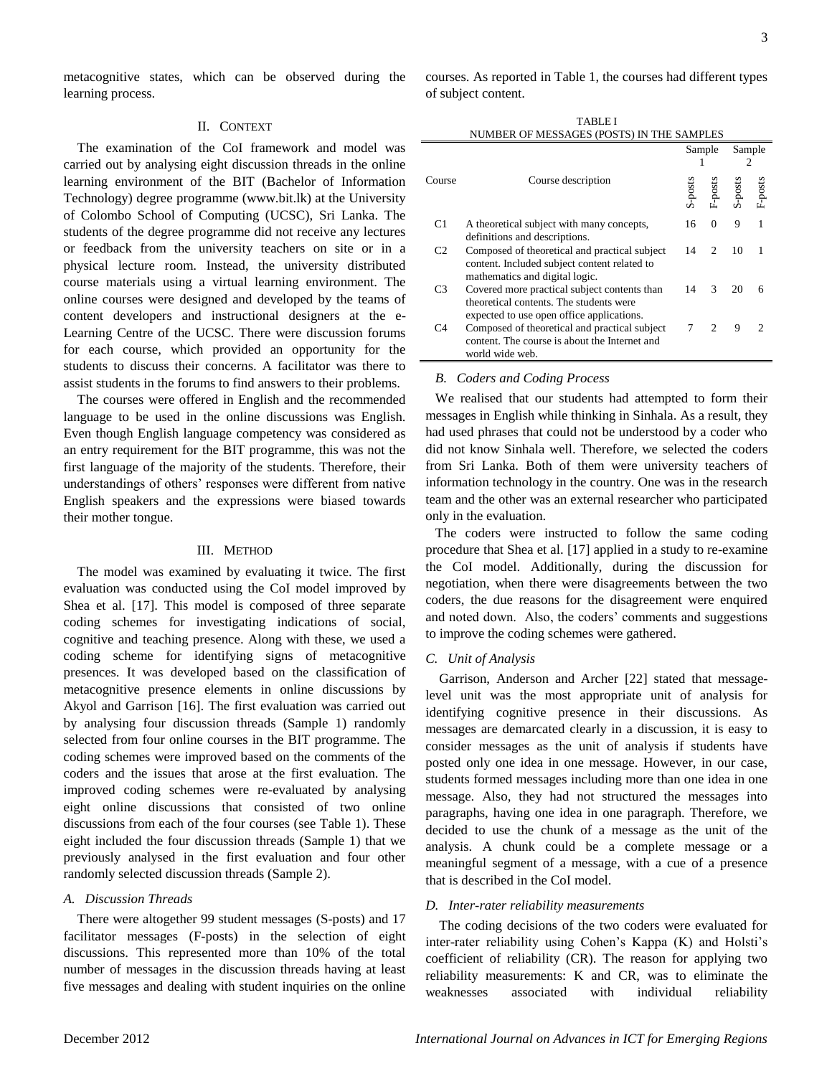metacognitive states, which can be observed during the learning process.

## II. CONTEXT

The examination of the CoI framework and model was carried out by analysing eight discussion threads in the online learning environment of the BIT (Bachelor of Information Technology) degree programme (www.bit.lk) at the University of Colombo School of Computing (UCSC), Sri Lanka. The students of the degree programme did not receive any lectures or feedback from the university teachers on site or in a physical lecture room. Instead, the university distributed course materials using a virtual learning environment. The online courses were designed and developed by the teams of content developers and instructional designers at the e-Learning Centre of the UCSC. There were discussion forums for each course, which provided an opportunity for the students to discuss their concerns. A facilitator was there to assist students in the forums to find answers to their problems.

The courses were offered in English and the recommended language to be used in the online discussions was English. Even though English language competency was considered as an entry requirement for the BIT programme, this was not the first language of the majority of the students. Therefore, their understandings of others' responses were different from native English speakers and the expressions were biased towards their mother tongue.

#### III. METHOD

The model was examined by evaluating it twice. The first evaluation was conducted using the CoI model improved by Shea et al. [17]. This model is composed of three separate coding schemes for investigating indications of social, cognitive and teaching presence. Along with these, we used a coding scheme for identifying signs of metacognitive presences. It was developed based on the classification of metacognitive presence elements in online discussions by Akyol and Garrison [16]. The first evaluation was carried out by analysing four discussion threads (Sample 1) randomly selected from four online courses in the BIT programme. The coding schemes were improved based on the comments of the coders and the issues that arose at the first evaluation. The improved coding schemes were re-evaluated by analysing eight online discussions that consisted of two online discussions from each of the four courses (see Table 1). These eight included the four discussion threads (Sample 1) that we previously analysed in the first evaluation and four other randomly selected discussion threads (Sample 2).

#### *A. Discussion Threads*

There were altogether 99 student messages (S-posts) and 17 facilitator messages (F-posts) in the selection of eight discussions. This represented more than 10% of the total number of messages in the discussion threads having at least five messages and dealing with student inquiries on the online

courses. As reported in Table 1, the courses had different types of subject content.

TABLE I

| NUMBER OF MESSAGES (POSTS) IN THE SAMPLES |                                                                                                                                      |         |                        |         |         |  |  |  |
|-------------------------------------------|--------------------------------------------------------------------------------------------------------------------------------------|---------|------------------------|---------|---------|--|--|--|
|                                           |                                                                                                                                      | Sample  |                        | Sample  |         |  |  |  |
| Course                                    | Course description                                                                                                                   | S-posts | ${\tt F-} {\tt posts}$ | S-posts | F-posts |  |  |  |
| C1                                        | A theoretical subject with many concepts,<br>definitions and descriptions.                                                           | 16      | 0                      | 9       | 1       |  |  |  |
| C <sub>2</sub>                            | Composed of theoretical and practical subject<br>content. Included subject content related to<br>mathematics and digital logic.      | 14      | $\mathfrak{D}$         | 10      |         |  |  |  |
| C <sub>3</sub>                            | Covered more practical subject contents than<br>theoretical contents. The students were<br>expected to use open office applications. | 14      | $\mathcal{R}$          | 20      |         |  |  |  |
| C4                                        | Composed of theoretical and practical subject<br>content. The course is about the Internet and<br>world wide web.                    |         | $\mathcal{D}$          | 9       |         |  |  |  |

#### *B. Coders and Coding Process*

We realised that our students had attempted to form their messages in English while thinking in Sinhala. As a result, they had used phrases that could not be understood by a coder who did not know Sinhala well. Therefore, we selected the coders from Sri Lanka. Both of them were university teachers of information technology in the country. One was in the research team and the other was an external researcher who participated only in the evaluation.

The coders were instructed to follow the same coding procedure that Shea et al. [17] applied in a study to re-examine the CoI model. Additionally, during the discussion for negotiation, when there were disagreements between the two coders, the due reasons for the disagreement were enquired and noted down. Also, the coders' comments and suggestions to improve the coding schemes were gathered.

#### *C. Unit of Analysis*

Garrison, Anderson and Archer [22] stated that messagelevel unit was the most appropriate unit of analysis for identifying cognitive presence in their discussions. As messages are demarcated clearly in a discussion, it is easy to consider messages as the unit of analysis if students have posted only one idea in one message. However, in our case, students formed messages including more than one idea in one message. Also, they had not structured the messages into paragraphs, having one idea in one paragraph. Therefore, we decided to use the chunk of a message as the unit of the analysis. A chunk could be a complete message or a meaningful segment of a message, with a cue of a presence that is described in the CoI model.

#### *D. Inter-rater reliability measurements*

The coding decisions of the two coders were evaluated for inter-rater reliability using Cohen's Kappa (K) and Holsti's coefficient of reliability (CR). The reason for applying two reliability measurements: K and CR, was to eliminate the weaknesses associated with individual reliability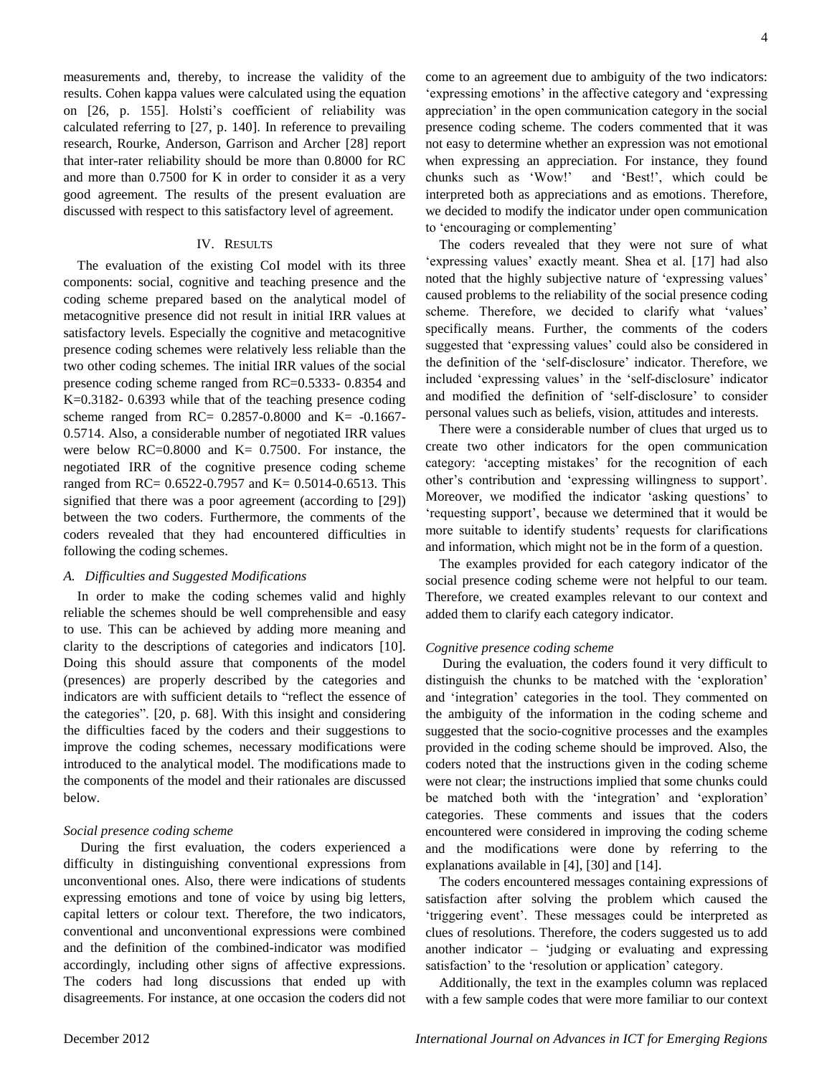measurements and, thereby, to increase the validity of the results. Cohen kappa values were calculated using the equation on [26, p. 155]. Holsti's coefficient of reliability was calculated referring to [27, p. 140]. In reference to prevailing research, Rourke, Anderson, Garrison and Archer [28] report that inter-rater reliability should be more than 0.8000 for RC and more than 0.7500 for K in order to consider it as a very good agreement. The results of the present evaluation are discussed with respect to this satisfactory level of agreement.

#### IV. RESULTS

The evaluation of the existing CoI model with its three components: social, cognitive and teaching presence and the coding scheme prepared based on the analytical model of metacognitive presence did not result in initial IRR values at satisfactory levels. Especially the cognitive and metacognitive presence coding schemes were relatively less reliable than the two other coding schemes. The initial IRR values of the social presence coding scheme ranged from RC=0.5333- 0.8354 and K=0.3182- 0.6393 while that of the teaching presence coding scheme ranged from RC= 0.2857-0.8000 and K= -0.1667- 0.5714. Also, a considerable number of negotiated IRR values were below  $RC=0.8000$  and  $K= 0.7500$ . For instance, the negotiated IRR of the cognitive presence coding scheme ranged from RC=  $0.6522 - 0.7957$  and K=  $0.5014 - 0.6513$ . This signified that there was a poor agreement (according to [29]) between the two coders. Furthermore, the comments of the coders revealed that they had encountered difficulties in following the coding schemes.

#### *A. Difficulties and Suggested Modifications*

In order to make the coding schemes valid and highly reliable the schemes should be well comprehensible and easy to use. This can be achieved by adding more meaning and clarity to the descriptions of categories and indicators [10]. Doing this should assure that components of the model (presences) are properly described by the categories and indicators are with sufficient details to "reflect the essence of the categories". [20, p. 68]. With this insight and considering the difficulties faced by the coders and their suggestions to improve the coding schemes, necessary modifications were introduced to the analytical model. The modifications made to the components of the model and their rationales are discussed below.

#### *Social presence coding scheme*

 During the first evaluation, the coders experienced a difficulty in distinguishing conventional expressions from unconventional ones. Also, there were indications of students expressing emotions and tone of voice by using big letters, capital letters or colour text. Therefore, the two indicators, conventional and unconventional expressions were combined and the definition of the combined-indicator was modified accordingly, including other signs of affective expressions. The coders had long discussions that ended up with disagreements. For instance, at one occasion the coders did not come to an agreement due to ambiguity of the two indicators: ‗expressing emotions' in the affective category and ‗expressing appreciation' in the open communication category in the social presence coding scheme. The coders commented that it was not easy to determine whether an expression was not emotional when expressing an appreciation. For instance, they found chunks such as 'Wow!' and 'Best!', which could be interpreted both as appreciations and as emotions. Therefore, we decided to modify the indicator under open communication to 'encouraging or complementing'

The coders revealed that they were not sure of what ‗expressing values' exactly meant. Shea et al. [17] had also noted that the highly subjective nature of 'expressing values' caused problems to the reliability of the social presence coding scheme. Therefore, we decided to clarify what 'values' specifically means. Further, the comments of the coders suggested that 'expressing values' could also be considered in the definition of the ‗self-disclosure' indicator. Therefore, we included 'expressing values' in the 'self-disclosure' indicator and modified the definition of 'self-disclosure' to consider personal values such as beliefs, vision, attitudes and interests.

There were a considerable number of clues that urged us to create two other indicators for the open communication category: ‗accepting mistakes' for the recognition of each other's contribution and ‗expressing willingness to support'. Moreover, we modified the indicator 'asking questions' to ‗requesting support', because we determined that it would be more suitable to identify students' requests for clarifications and information, which might not be in the form of a question.

The examples provided for each category indicator of the social presence coding scheme were not helpful to our team. Therefore, we created examples relevant to our context and added them to clarify each category indicator.

#### *Cognitive presence coding scheme*

 During the evaluation, the coders found it very difficult to distinguish the chunks to be matched with the 'exploration' and 'integration' categories in the tool. They commented on the ambiguity of the information in the coding scheme and suggested that the socio-cognitive processes and the examples provided in the coding scheme should be improved. Also, the coders noted that the instructions given in the coding scheme were not clear; the instructions implied that some chunks could be matched both with the 'integration' and 'exploration' categories. These comments and issues that the coders encountered were considered in improving the coding scheme and the modifications were done by referring to the explanations available in [4], [30] and [14].

The coders encountered messages containing expressions of satisfaction after solving the problem which caused the ‗triggering event'. These messages could be interpreted as clues of resolutions. Therefore, the coders suggested us to add another indicator  $-$  'judging or evaluating and expressing satisfaction' to the 'resolution or application' category.

Additionally, the text in the examples column was replaced with a few sample codes that were more familiar to our context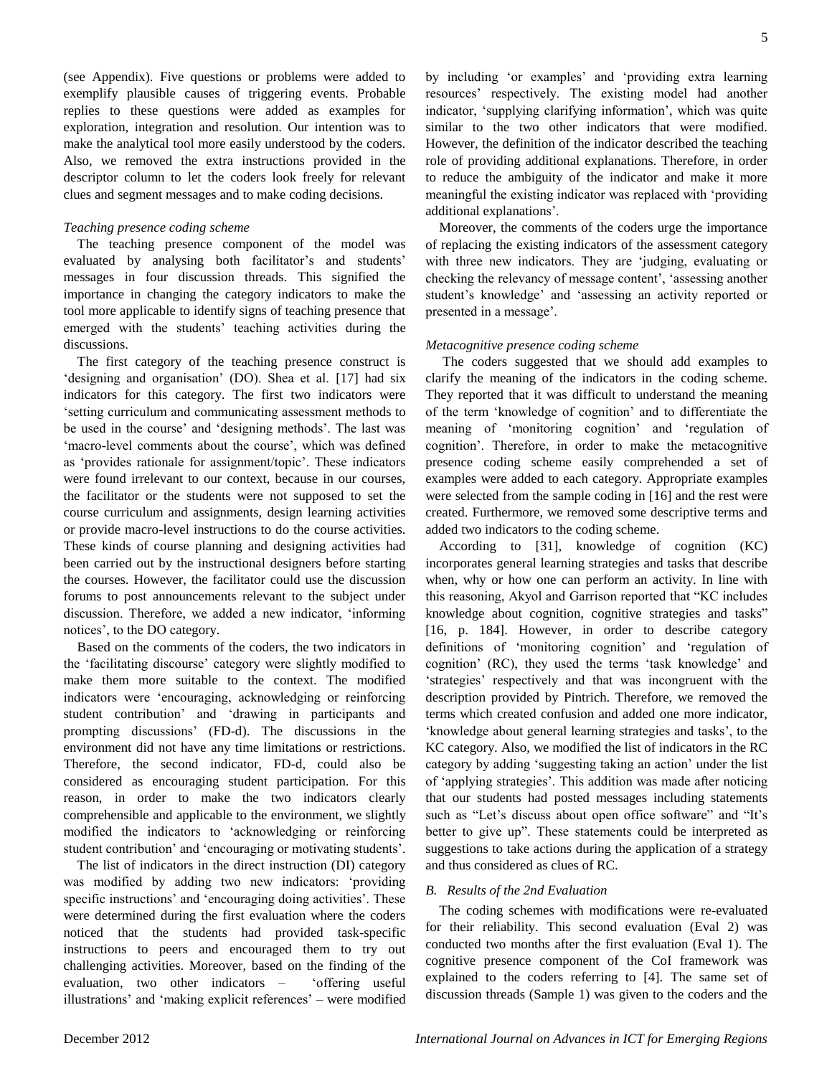(see Appendix). Five questions or problems were added to exemplify plausible causes of triggering events. Probable replies to these questions were added as examples for exploration, integration and resolution. Our intention was to make the analytical tool more easily understood by the coders. Also, we removed the extra instructions provided in the descriptor column to let the coders look freely for relevant clues and segment messages and to make coding decisions.

#### *Teaching presence coding scheme*

The teaching presence component of the model was evaluated by analysing both facilitator's and students' messages in four discussion threads. This signified the importance in changing the category indicators to make the tool more applicable to identify signs of teaching presence that emerged with the students' teaching activities during the discussions.

The first category of the teaching presence construct is designing and organisation' (DO). Shea et al. [17] had six indicators for this category. The first two indicators were ‗setting curriculum and communicating assessment methods to be used in the course' and 'designing methods'. The last was ‗macro-level comments about the course', which was defined as 'provides rationale for assignment/topic'. These indicators were found irrelevant to our context, because in our courses, the facilitator or the students were not supposed to set the course curriculum and assignments, design learning activities or provide macro-level instructions to do the course activities. These kinds of course planning and designing activities had been carried out by the instructional designers before starting the courses. However, the facilitator could use the discussion forums to post announcements relevant to the subject under discussion. Therefore, we added a new indicator, 'informing notices', to the DO category.

Based on the comments of the coders, the two indicators in the ‗facilitating discourse' category were slightly modified to make them more suitable to the context. The modified indicators were 'encouraging, acknowledging or reinforcing student contribution' and 'drawing in participants and prompting discussions' (FD-d). The discussions in the environment did not have any time limitations or restrictions. Therefore, the second indicator, FD-d, could also be considered as encouraging student participation. For this reason, in order to make the two indicators clearly comprehensible and applicable to the environment, we slightly modified the indicators to 'acknowledging or reinforcing student contribution' and 'encouraging or motivating students'.

The list of indicators in the direct instruction (DI) category was modified by adding two new indicators: 'providing specific instructions' and 'encouraging doing activities'. These were determined during the first evaluation where the coders noticed that the students had provided task-specific instructions to peers and encouraged them to try out challenging activities. Moreover, based on the finding of the evaluation, two other indicators  $-$  'offering useful illustrations' and 'making explicit references' – were modified by including 'or examples' and 'providing extra learning resources' respectively. The existing model had another indicator, 'supplying clarifying information', which was quite similar to the two other indicators that were modified. However, the definition of the indicator described the teaching role of providing additional explanations. Therefore, in order to reduce the ambiguity of the indicator and make it more meaningful the existing indicator was replaced with 'providing additional explanations'.

Moreover, the comments of the coders urge the importance of replacing the existing indicators of the assessment category with three new indicators. They are 'judging, evaluating or checking the relevancy of message content', 'assessing another student's knowledge' and 'assessing an activity reported or presented in a message'.

#### *Metacognitive presence coding scheme*

 The coders suggested that we should add examples to clarify the meaning of the indicators in the coding scheme. They reported that it was difficult to understand the meaning of the term ‗knowledge of cognition' and to differentiate the meaning of 'monitoring cognition' and 'regulation of cognition'. Therefore, in order to make the metacognitive presence coding scheme easily comprehended a set of examples were added to each category. Appropriate examples were selected from the sample coding in [16] and the rest were created. Furthermore, we removed some descriptive terms and added two indicators to the coding scheme.

According to [31], knowledge of cognition (KC) incorporates general learning strategies and tasks that describe when, why or how one can perform an activity. In line with this reasoning, Akyol and Garrison reported that "KC includes knowledge about cognition, cognitive strategies and tasks" [16, p. 184]. However, in order to describe category definitions of 'monitoring cognition' and 'regulation of cognition' (RC), they used the terms 'task knowledge' and ‗strategies' respectively and that was incongruent with the description provided by Pintrich. Therefore, we removed the terms which created confusion and added one more indicator, ‗knowledge about general learning strategies and tasks', to the KC category. Also, we modified the list of indicators in the RC category by adding 'suggesting taking an action' under the list of ‗applying strategies'. This addition was made after noticing that our students had posted messages including statements such as "Let's discuss about open office software" and "It's better to give up". These statements could be interpreted as suggestions to take actions during the application of a strategy and thus considered as clues of RC.

#### *B. Results of the 2nd Evaluation*

The coding schemes with modifications were re-evaluated for their reliability. This second evaluation (Eval 2) was conducted two months after the first evaluation (Eval 1). The cognitive presence component of the CoI framework was explained to the coders referring to [4]. The same set of discussion threads (Sample 1) was given to the coders and the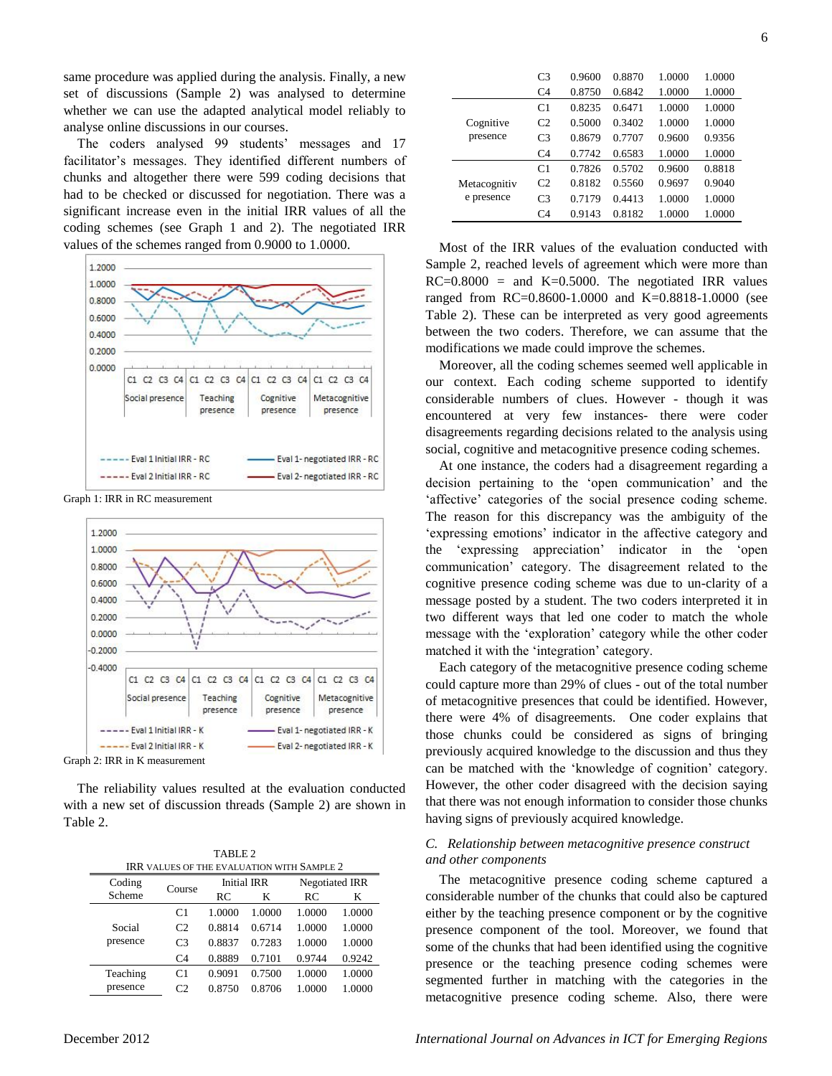same procedure was applied during the analysis. Finally, a new set of discussions (Sample 2) was analysed to determine whether we can use the adapted analytical model reliably to analyse online discussions in our courses.

The coders analysed 99 students' messages and 17 facilitator's messages. They identified different numbers of chunks and altogether there were 599 coding decisions that had to be checked or discussed for negotiation. There was a significant increase even in the initial IRR values of all the coding schemes (see Graph 1 and 2). The negotiated IRR values of the schemes ranged from 0.9000 to 1.0000.







The reliability values resulted at the evaluation conducted with a new set of discussion threads (Sample 2) are shown in Table 2.

TABLE 2 IRR VALUES OF THE EVALUATION WITH SAMPLE 2

| $\cdots$ |                |        |                    |                       |        |  |
|----------|----------------|--------|--------------------|-----------------------|--------|--|
| Coding   | Course         |        | <b>Initial IRR</b> | <b>Negotiated IRR</b> |        |  |
| Scheme   |                | RC     | K                  | RC.                   | K      |  |
|          | C1             | 1.0000 | 1.0000             | 1.0000                | 1.0000 |  |
| Social   | C <sub>2</sub> | 0.8814 | 0.6714             | 1.0000                | 1.0000 |  |
| presence | C <sub>3</sub> | 0.8837 | 0.7283             | 1.0000                | 1.0000 |  |
|          | C <sub>4</sub> | 0.8889 | 0.7101             | 0.9744                | 0.9242 |  |
| Teaching | C1             | 0.9091 | 0.7500             | 1.0000                | 1.0000 |  |
| presence | C <sub>2</sub> | 0.8750 | 0.8706             | 1.0000                | 1.0000 |  |
|          |                |        |                    |                       |        |  |

|              | C <sub>3</sub> | 0.9600 | 0.8870 | 1.0000 | 1.0000 |
|--------------|----------------|--------|--------|--------|--------|
|              | C <sub>4</sub> | 0.8750 | 0.6842 | 1.0000 | 1.0000 |
|              | C1             | 0.8235 | 0.6471 | 1.0000 | 1.0000 |
| Cognitive    | C <sub>2</sub> | 0.5000 | 0.3402 | 1.0000 | 1.0000 |
| presence     | C <sub>3</sub> | 0.8679 | 0.7707 | 0.9600 | 0.9356 |
|              | C <sub>4</sub> | 0.7742 | 0.6583 | 1.0000 | 1.0000 |
|              | C <sub>1</sub> | 0.7826 | 0.5702 | 0.9600 | 0.8818 |
| Metacognitiv | C <sub>2</sub> | 0.8182 | 0.5560 | 0.9697 | 0.9040 |
| e presence   | C <sub>3</sub> | 0.7179 | 0.4413 | 1.0000 | 1.0000 |
|              | C <sub>4</sub> | 0.9143 | 0.8182 | 1.0000 | 1.0000 |

Most of the IRR values of the evaluation conducted with Sample 2, reached levels of agreement which were more than  $RC=0.8000 =$  and  $K=0.5000$ . The negotiated IRR values ranged from RC=0.8600-1.0000 and K=0.8818-1.0000 (see Table 2). These can be interpreted as very good agreements between the two coders. Therefore, we can assume that the modifications we made could improve the schemes.

Moreover, all the coding schemes seemed well applicable in our context. Each coding scheme supported to identify considerable numbers of clues. However - though it was encountered at very few instances- there were coder disagreements regarding decisions related to the analysis using social, cognitive and metacognitive presence coding schemes.

At one instance, the coders had a disagreement regarding a decision pertaining to the 'open communication' and the 'affective' categories of the social presence coding scheme. The reason for this discrepancy was the ambiguity of the ‗expressing emotions' indicator in the affective category and the 'expressing appreciation' indicator in the 'open communication' category. The disagreement related to the cognitive presence coding scheme was due to un-clarity of a message posted by a student. The two coders interpreted it in two different ways that led one coder to match the whole message with the 'exploration' category while the other coder matched it with the 'integration' category.

Each category of the metacognitive presence coding scheme could capture more than 29% of clues - out of the total number of metacognitive presences that could be identified. However, there were 4% of disagreements. One coder explains that those chunks could be considered as signs of bringing previously acquired knowledge to the discussion and thus they can be matched with the 'knowledge of cognition' category. However, the other coder disagreed with the decision saying that there was not enough information to consider those chunks having signs of previously acquired knowledge.

#### *C. Relationship between metacognitive presence construct and other components*

The metacognitive presence coding scheme captured a considerable number of the chunks that could also be captured either by the teaching presence component or by the cognitive presence component of the tool. Moreover, we found that some of the chunks that had been identified using the cognitive presence or the teaching presence coding schemes were segmented further in matching with the categories in the metacognitive presence coding scheme. Also, there were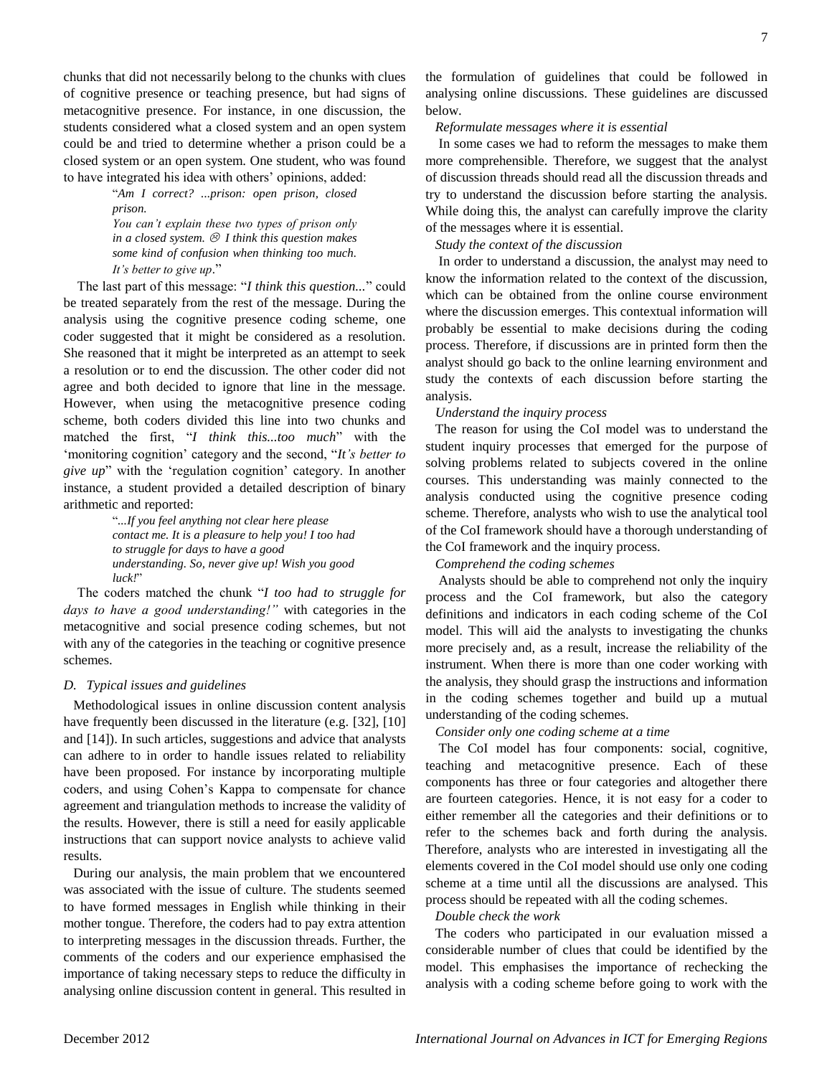chunks that did not necessarily belong to the chunks with clues of cognitive presence or teaching presence, but had signs of metacognitive presence. For instance, in one discussion, the students considered what a closed system and an open system could be and tried to determine whether a prison could be a closed system or an open system. One student, who was found to have integrated his idea with others' opinions, added:

―*Am I correct? ...prison: open prison, closed prison. You can't explain these two types of prison only in a closed system. I think this question makes some kind of confusion when thinking too much. It's better to give up.*"

The last part of this message: "*I think this question...*" could be treated separately from the rest of the message. During the analysis using the cognitive presence coding scheme, one coder suggested that it might be considered as a resolution. She reasoned that it might be interpreted as an attempt to seek a resolution or to end the discussion. The other coder did not agree and both decided to ignore that line in the message. However, when using the metacognitive presence coding scheme, both coders divided this line into two chunks and matched the first, "I think this...too much" with the ‗monitoring cognition' category and the second, ―*It's better to give up*" with the 'regulation cognition' category. In another instance, a student provided a detailed description of binary arithmetic and reported:

> ―*...If you feel anything not clear here please contact me. It is a pleasure to help you! I too had to struggle for days to have a good understanding. So, never give up! Wish you good luck!*‖

The coders matched the chunk "*I too had to struggle for days to have a good understanding!"* with categories in the metacognitive and social presence coding schemes, but not with any of the categories in the teaching or cognitive presence schemes.

#### *D. Typical issues and guidelines*

Methodological issues in online discussion content analysis have frequently been discussed in the literature (e.g. [32], [10] and [14]). In such articles, suggestions and advice that analysts can adhere to in order to handle issues related to reliability have been proposed. For instance by incorporating multiple coders, and using Cohen's Kappa to compensate for chance agreement and triangulation methods to increase the validity of the results. However, there is still a need for easily applicable instructions that can support novice analysts to achieve valid results.

During our analysis, the main problem that we encountered was associated with the issue of culture. The students seemed to have formed messages in English while thinking in their mother tongue. Therefore, the coders had to pay extra attention to interpreting messages in the discussion threads. Further, the comments of the coders and our experience emphasised the importance of taking necessary steps to reduce the difficulty in analysing online discussion content in general. This resulted in the formulation of guidelines that could be followed in analysing online discussions. These guidelines are discussed below.

#### *Reformulate messages where it is essential*

 In some cases we had to reform the messages to make them more comprehensible. Therefore, we suggest that the analyst of discussion threads should read all the discussion threads and try to understand the discussion before starting the analysis. While doing this, the analyst can carefully improve the clarity of the messages where it is essential.

*Study the context of the discussion* 

 In order to understand a discussion, the analyst may need to know the information related to the context of the discussion, which can be obtained from the online course environment where the discussion emerges. This contextual information will probably be essential to make decisions during the coding process. Therefore, if discussions are in printed form then the analyst should go back to the online learning environment and study the contexts of each discussion before starting the analysis.

### *Understand the inquiry process*

The reason for using the CoI model was to understand the student inquiry processes that emerged for the purpose of solving problems related to subjects covered in the online courses. This understanding was mainly connected to the analysis conducted using the cognitive presence coding scheme. Therefore, analysts who wish to use the analytical tool of the CoI framework should have a thorough understanding of the CoI framework and the inquiry process.

*Comprehend the coding schemes* 

 Analysts should be able to comprehend not only the inquiry process and the CoI framework, but also the category definitions and indicators in each coding scheme of the CoI model. This will aid the analysts to investigating the chunks more precisely and, as a result, increase the reliability of the instrument. When there is more than one coder working with the analysis, they should grasp the instructions and information in the coding schemes together and build up a mutual understanding of the coding schemes.

*Consider only one coding scheme at a time* 

 The CoI model has four components: social, cognitive, teaching and metacognitive presence. Each of these components has three or four categories and altogether there are fourteen categories. Hence, it is not easy for a coder to either remember all the categories and their definitions or to refer to the schemes back and forth during the analysis. Therefore, analysts who are interested in investigating all the elements covered in the CoI model should use only one coding scheme at a time until all the discussions are analysed. This process should be repeated with all the coding schemes.

*Double check the work*

The coders who participated in our evaluation missed a considerable number of clues that could be identified by the model. This emphasises the importance of rechecking the analysis with a coding scheme before going to work with the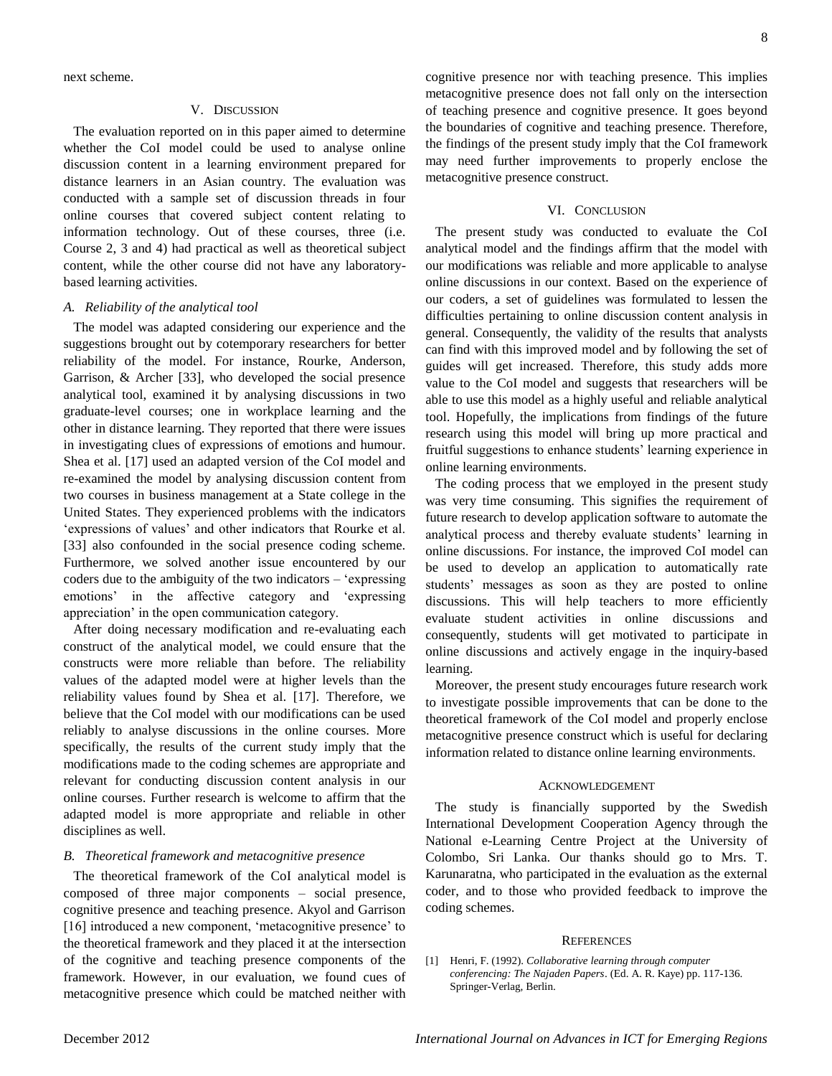next scheme.

#### V. DISCUSSION

The evaluation reported on in this paper aimed to determine whether the CoI model could be used to analyse online discussion content in a learning environment prepared for distance learners in an Asian country. The evaluation was conducted with a sample set of discussion threads in four online courses that covered subject content relating to information technology. Out of these courses, three (i.e. Course 2, 3 and 4) had practical as well as theoretical subject content, while the other course did not have any laboratorybased learning activities.

#### *A. Reliability of the analytical tool*

The model was adapted considering our experience and the suggestions brought out by cotemporary researchers for better reliability of the model. For instance, Rourke, Anderson, Garrison, & Archer [33], who developed the social presence analytical tool, examined it by analysing discussions in two graduate-level courses; one in workplace learning and the other in distance learning. They reported that there were issues in investigating clues of expressions of emotions and humour. Shea et al. [17] used an adapted version of the CoI model and re-examined the model by analysing discussion content from two courses in business management at a State college in the United States. They experienced problems with the indicators 'expressions of values' and other indicators that Rourke et al. [33] also confounded in the social presence coding scheme. Furthermore, we solved another issue encountered by our coders due to the ambiguity of the two indicators – ‗expressing emotions' in the affective category and 'expressing appreciation' in the open communication category.

After doing necessary modification and re-evaluating each construct of the analytical model, we could ensure that the constructs were more reliable than before. The reliability values of the adapted model were at higher levels than the reliability values found by Shea et al. [17]. Therefore, we believe that the CoI model with our modifications can be used reliably to analyse discussions in the online courses. More specifically, the results of the current study imply that the modifications made to the coding schemes are appropriate and relevant for conducting discussion content analysis in our online courses. Further research is welcome to affirm that the adapted model is more appropriate and reliable in other disciplines as well.

#### *B. Theoretical framework and metacognitive presence*

The theoretical framework of the CoI analytical model is composed of three major components – social presence, cognitive presence and teaching presence. Akyol and Garrison [16] introduced a new component, 'metacognitive presence' to the theoretical framework and they placed it at the intersection of the cognitive and teaching presence components of the framework. However, in our evaluation, we found cues of metacognitive presence which could be matched neither with

cognitive presence nor with teaching presence. This implies metacognitive presence does not fall only on the intersection of teaching presence and cognitive presence. It goes beyond the boundaries of cognitive and teaching presence. Therefore, the findings of the present study imply that the CoI framework may need further improvements to properly enclose the metacognitive presence construct.

#### VI. CONCLUSION

The present study was conducted to evaluate the CoI analytical model and the findings affirm that the model with our modifications was reliable and more applicable to analyse online discussions in our context. Based on the experience of our coders, a set of guidelines was formulated to lessen the difficulties pertaining to online discussion content analysis in general. Consequently, the validity of the results that analysts can find with this improved model and by following the set of guides will get increased. Therefore, this study adds more value to the CoI model and suggests that researchers will be able to use this model as a highly useful and reliable analytical tool. Hopefully, the implications from findings of the future research using this model will bring up more practical and fruitful suggestions to enhance students' learning experience in online learning environments.

The coding process that we employed in the present study was very time consuming. This signifies the requirement of future research to develop application software to automate the analytical process and thereby evaluate students' learning in online discussions. For instance, the improved CoI model can be used to develop an application to automatically rate students' messages as soon as they are posted to online discussions. This will help teachers to more efficiently evaluate student activities in online discussions and consequently, students will get motivated to participate in online discussions and actively engage in the inquiry-based learning.

Moreover, the present study encourages future research work to investigate possible improvements that can be done to the theoretical framework of the CoI model and properly enclose metacognitive presence construct which is useful for declaring information related to distance online learning environments.

#### ACKNOWLEDGEMENT

The study is financially supported by the Swedish International Development Cooperation Agency through the National e-Learning Centre Project at the University of Colombo, Sri Lanka. Our thanks should go to Mrs. T. Karunaratna, who participated in the evaluation as the external coder, and to those who provided feedback to improve the coding schemes.

#### **REFERENCES**

[1] Henri, F. (1992). *Collaborative learning through computer conferencing: The Najaden Papers*. (Ed. A. R. Kaye) pp. 117-136. Springer-Verlag, Berlin.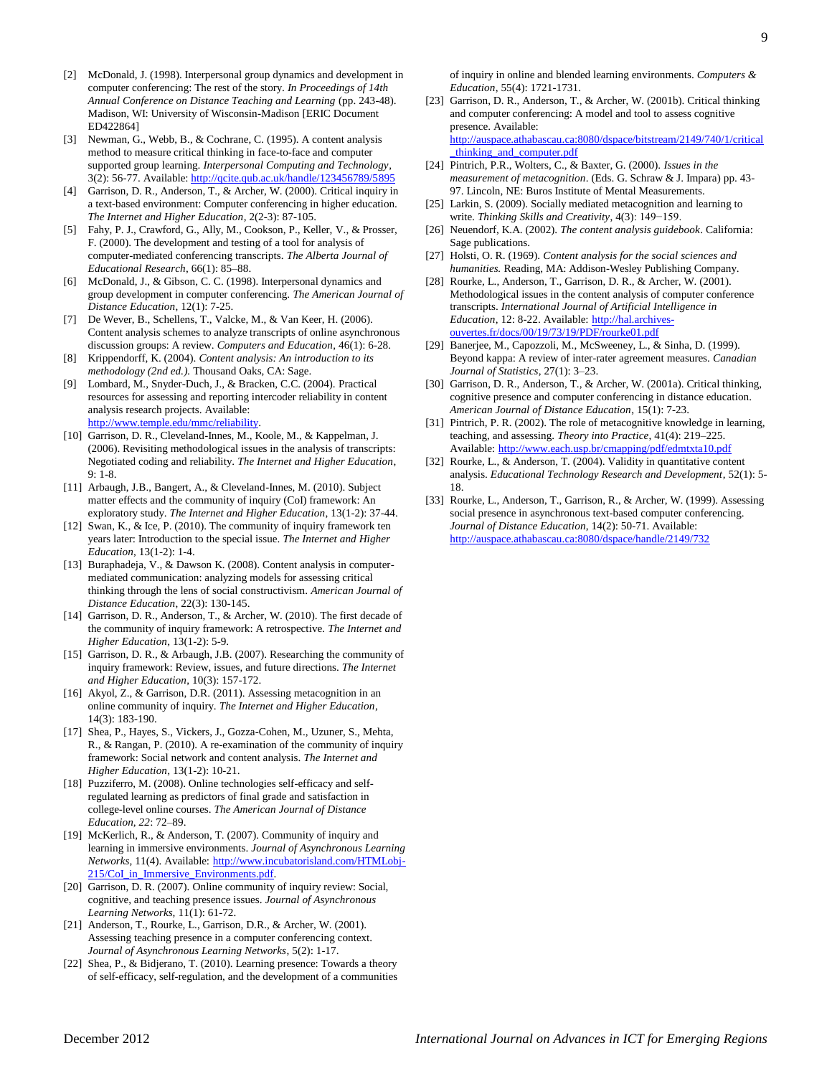- [2] McDonald, J. (1998). Interpersonal group dynamics and development in computer conferencing: The rest of the story. *In Proceedings of 14th Annual Conference on Distance Teaching and Learning* (pp. 243-48). Madison, WI: University of Wisconsin-Madison [ERIC Document ED422864]
- [3] Newman, G., Webb, B., & Cochrane, C. (1995). A content analysis method to measure critical thinking in face-to-face and computer supported group learning. *Interpersonal Computing and Technology*, 3(2): 56-77. Available[: http://qcite.qub.ac.uk/handle/123456789/5895](http://qcite.qub.ac.uk/handle/123456789/5895)
- [4] Garrison, D. R., Anderson, T., & Archer, W. (2000). Critical inquiry in a text-based environment: Computer conferencing in higher education. *The Internet and Higher Education*, 2(2-3): 87-105.
- [5] Fahy, P. J., Crawford, G., Ally, M., Cookson, P., Keller, V., & Prosser, F. (2000). The development and testing of a tool for analysis of computer-mediated conferencing transcripts. *The Alberta Journal of Educational Research*, 66(1): 85–88.
- [6] McDonald, J., & Gibson, C. C. (1998). Interpersonal dynamics and group development in computer conferencing. *The American Journal of Distance Education*, 12(1): 7-25.
- [7] De Wever, B., Schellens, T., Valcke, M., & Van Keer, H. (2006). Content analysis schemes to analyze transcripts of online asynchronous discussion groups: A review. *Computers and Education*, 46(1): 6-28.
- [8] Krippendorff, K. (2004). *Content analysis: An introduction to its methodology (2nd ed.).* Thousand Oaks, CA: Sage.
- [9] Lombard, M., Snyder-Duch, J., & Bracken, C.C. (2004). Practical resources for assessing and reporting intercoder reliability in content analysis research projects. Available: [http://www.temple.edu/mmc/reliability.](http://www.temple.edu/mmc/reliability)
- [10] Garrison, D. R., Cleveland-Innes, M., Koole, M., & Kappelman, J. (2006). Revisiting methodological issues in the analysis of transcripts: Negotiated coding and reliability. *The Internet and Higher Education*, 9: 1-8.
- [11] Arbaugh, J.B., Bangert, A., & Cleveland-Innes, M. (2010). Subject matter effects and the community of inquiry (CoI) framework: An exploratory study. *The Internet and Higher Education*, 13(1-2): 37-44.
- [12] Swan, K., & Ice, P. (2010). The community of inquiry framework ten years later: Introduction to the special issue. *The Internet and Higher Education*, 13(1-2): 1-4.
- [13] Buraphadeja, V., & Dawson K. (2008). Content analysis in computermediated communication: analyzing models for assessing critical thinking through the lens of social constructivism. *American Journal of Distance Education*, 22(3): 130-145.
- [14] Garrison, D. R., Anderson, T., & Archer, W. (2010). The first decade of the community of inquiry framework: A retrospective. *The Internet and Higher Education*, 13(1-2): 5-9.
- [15] Garrison, D. R., & Arbaugh, J.B. (2007). Researching the community of inquiry framework: Review, issues, and future directions. *The Internet and Higher Education*, 10(3): 157-172.
- [16] Akyol, Z., & Garrison, D.R. (2011). Assessing metacognition in an online community of inquiry. *The Internet and Higher Education*, 14(3): 183-190.
- [17] Shea, P., Hayes, S., Vickers, J., Gozza-Cohen, M., Uzuner, S., Mehta, R., & Rangan, P. (2010). A re-examination of the community of inquiry framework: Social network and content analysis. *The Internet and Higher Education*, 13(1-2): 10-21.
- [18] Puzziferro, M. (2008). Online technologies self-efficacy and selfregulated learning as predictors of final grade and satisfaction in college-level online courses. *The American Journal of Distance Education, 22*: 72–89.
- [19] McKerlich, R., & Anderson, T. (2007). Community of inquiry and learning in immersive environments. *Journal of Asynchronous Learning Networks,* 11(4). Available: [http://www.incubatorisland.com/HTMLobj-](http://www.incubatorisland.com/HTMLobj-215/CoI_in_Immersive_Environments.pdf)215/CoI\_in\_Immersive\_Environments.pdf.
- [20] Garrison, D. R. (2007). Online community of inquiry review: Social, cognitive, and teaching presence issues. *Journal of Asynchronous Learning Networks,* 11(1): 61-72.
- [21] Anderson, T., Rourke, L., Garrison, D.R., & Archer, W. (2001). Assessing teaching presence in a computer conferencing context. *Journal of Asynchronous Learning Networks*, 5(2): 1-17.
- [22] Shea, P., & Bidjerano, T. (2010). Learning presence: Towards a theory of self-efficacy, self-regulation, and the development of a communities

of inquiry in online and blended learning environments. *Computers & Education*, 55(4): 1721-1731.

- [23] Garrison, D. R., Anderson, T., & Archer, W. (2001b). Critical thinking and computer conferencing: A model and tool to assess cognitive presence. Available: [http://auspace.athabascau.ca:8080/dspace/bitstream/2149/740/1/critical](http://auspace.athabascau.ca:8080/dspace/bitstream/2149/740/1/critical_thinking_and_computer.pdf) [\\_thinking\\_and\\_computer.pdf](http://auspace.athabascau.ca:8080/dspace/bitstream/2149/740/1/critical_thinking_and_computer.pdf)
- [24] Pintrich, P.R., Wolters, C., & Baxter, G. (2000). *Issues in the measurement of metacognition*. (Eds. G. Schraw & J. Impara) pp. 43- 97. Lincoln, NE: Buros Institute of Mental Measurements.
- [25] Larkin, S. (2009). Socially mediated metacognition and learning to write. *Thinking Skills and Creativity*, 4(3): 149−159.
- [26] Neuendorf, K.A. (2002). *The content analysis guidebook*. California: Sage publications.
- [27] Holsti, O. R. (1969). *Content analysis for the social sciences and humanities.* Reading, MA: Addison-Wesley Publishing Company.
- [28] Rourke, L., Anderson, T., Garrison, D. R., & Archer, W. (2001). Methodological issues in the content analysis of computer conference transcripts. *International Journal of Artificial Intelligence in Education*, 12: 8-22. Available: [http://hal.archives](http://hal.archives-ouvertes.fr/docs/00/19/73/19/PDF/rourke01.pdf)[ouvertes.fr/docs/00/19/73/19/PDF/rourke01.pdf](http://hal.archives-ouvertes.fr/docs/00/19/73/19/PDF/rourke01.pdf)
- [29] Banerjee, M., Capozzoli, M., McSweeney, L., & Sinha, D. (1999). Beyond kappa: A review of inter-rater agreement measures. *Canadian Journal of Statistics*, 27(1): 3–23.
- [30] Garrison, D. R., Anderson, T., & Archer, W. (2001a). Critical thinking, cognitive presence and computer conferencing in distance education. *American Journal of Distance Education*, 15(1): 7-23.
- [31] Pintrich, P. R. (2002). The role of metacognitive knowledge in learning, teaching, and assessing. *Theory into Practice*, 41(4): 219–225. Available: <http://www.each.usp.br/cmapping/pdf/edmtxta10.pdf>
- [32] Rourke, L., & Anderson, T. (2004). Validity in quantitative content analysis. *Educational Technology Research and Development*, 52(1): 5- 18.
- [33] Rourke, L., Anderson, T., Garrison, R., & Archer, W. (1999). Assessing social presence in asynchronous text-based computer conferencing. *Journal of Distance Education*, 14(2): 50-71. Available: <http://auspace.athabascau.ca:8080/dspace/handle/2149/732>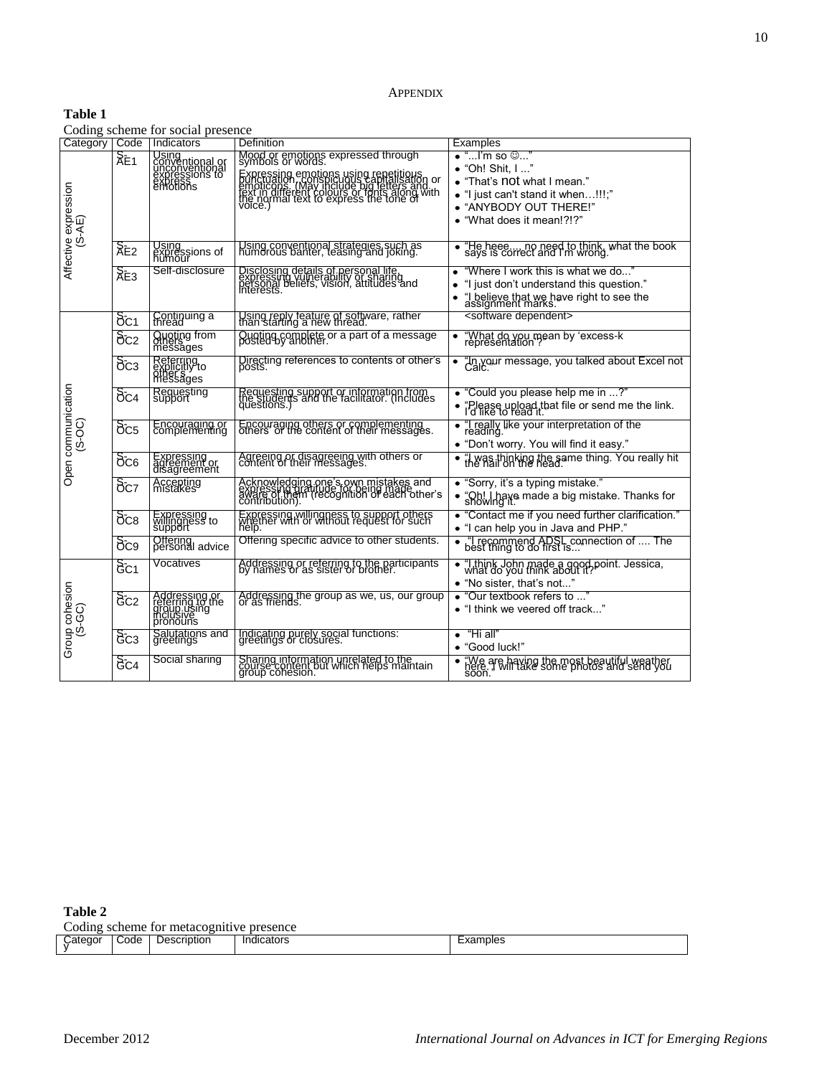# **Table 1**

Coding scheme for social presence

| Category   Code                |                                     | count, beneme for boenin presence<br>l Indicators                              | Definition                                                                                                                                                                                                                                    | <b>Examples</b>                                                                                                                                                                    |
|--------------------------------|-------------------------------------|--------------------------------------------------------------------------------|-----------------------------------------------------------------------------------------------------------------------------------------------------------------------------------------------------------------------------------------------|------------------------------------------------------------------------------------------------------------------------------------------------------------------------------------|
| Affective expression<br>(S-AE) | $\overline{\lambda}$ E <sub>1</sub> | Using<br>conventional or<br>unconventional<br>expressions to<br>expressions to | Mood or emotions expressed through<br>symbols or words.<br>Expressing emotions using repetitions<br>Prioricons, (May Include big letters and<br>Fext in different colours or letters and<br>the colour text to express the tone of<br>voice.) | $\bullet$ "I'm so $\circledcirc$ '<br>• "Oh! Shit, I "<br>• "That's not what I mean."<br>• "I just can't stand it when!!!;"<br>• "ANYBODY OUT THERE!"<br>• "What does it mean!?!?" |
|                                | &e2                                 | Using<br>expressions of<br>humour                                              | Using conventional strategies such as<br>humorous banter, teasing and joking.                                                                                                                                                                 | "He heee mo need to think, what the book<br>says is correct and I'm wrong.                                                                                                         |
|                                | $\overline{\mathsf{R}}$ E3          | Self-disclosure                                                                | Disclosing details of personal life,<br>expressing vulnerability of sharing<br>presses, beliefs, vision, attitudes and                                                                                                                        | "Where I work this is what we do"<br>"I just don't understand this question."<br>"I believe that we have right to see the<br>assignment marks."                                    |
|                                | $\delta$ c1                         | Continuing a                                                                   | Using reply feature of software, rather<br>than starting a new thread.                                                                                                                                                                        | <software dependent=""></software>                                                                                                                                                 |
|                                | $\delta$ c2                         | Quoting from<br>others<br>messages                                             | Quoting complete or a part of a message<br>posted by another.                                                                                                                                                                                 | "What do you mean by 'excess-k<br>representation' <i>:</i><br>$\bullet$                                                                                                            |
| Open communication<br>(S-OC)   | $\delta c_3$                        | Referring<br>explicitly to<br>messages                                         | Directing references to contents of other's<br>posts.                                                                                                                                                                                         | "In your message, you talked about Excel not                                                                                                                                       |
|                                | $\delta$ <sub>C4</sub>              | Requesting<br>support                                                          | Requesting support or information from<br>the students and the facilitator. (Includes<br>questions.)                                                                                                                                          | • "Could you please help me in ?"<br>"Please upload that file or send me the link.<br>I'd like to read it.                                                                         |
|                                | $\delta c_5$                        | Encouraging or<br>complementing                                                | Encouraging others or complementing<br>others' or the content of their messages.                                                                                                                                                              | "  really like your interpretation of the<br>reading.<br>• "Don't worry. You will find it easy."                                                                                   |
|                                | $\delta$ <sub>C6</sub>              | Expressing<br>agreement or<br>disagreement                                     | Agreeing or disagreeing with others or<br>content of their messages.                                                                                                                                                                          | "I was thinking the same thing. You really hit<br>the nail on the head.                                                                                                            |
|                                | $\delta$ cz                         | Accepting<br>mistakes                                                          | Acknowledging.one's own mistakes and<br>expressing diratitude for peing made<br>contribution).                                                                                                                                                | • "Sorry, it's a typing mistake."<br>• "Oh! I have made a big mistake. Thanks for<br>showing it.                                                                                   |
|                                | $\delta$ c $s$                      | Expressing<br>willingness to<br>support                                        | Expressing willingness to support others<br>whether with or without request for such<br>help.                                                                                                                                                 | • "Contact me if you need further clarification."<br>• "I can help you in Java and PHP."                                                                                           |
|                                | $\delta c_9$                        | Offering<br>personal advice                                                    | Offering specific advice to other students.                                                                                                                                                                                                   | "I recommend ADSL connection of  The<br>best thing to do first is                                                                                                                  |
|                                | 6C1                                 | Vocatives                                                                      | Addressing or referring to the participants<br>by names or as sister or brother.                                                                                                                                                              | • "I think John made a good point. Jessica,<br>what do you think about it?<br>• "No sister, that's not"                                                                            |
| Group cohesion<br>(S-GC)       | 8c2                                 | Addressing or<br>referring to the<br>group.using<br>inclusive                  | Addressing the group as we, us, our group<br>or as friends.                                                                                                                                                                                   | "Our textbook refers to "<br>• "I think we veered off track"                                                                                                                       |
|                                | 8c <sub>3</sub>                     | Salutations and<br>greetings                                                   | Indicating purely social functions:<br>greetings or closures.                                                                                                                                                                                 | "Hi all"<br>"Good luck!"                                                                                                                                                           |
|                                | $\delta$ C4                         | Social sharing                                                                 | Sharing information unrelated to the<br>course content but which helps maintain<br>group conesion.                                                                                                                                            | "We are having the most beautiful weather<br>here. I will take some photos and send you<br>soon.                                                                                   |

**Table 2** 

L

Coding scheme for metacognitive presence

| .ater<br>חוזי | Code. | scription<br>Jesc | .<br>.naic<br>cators<br>. | $\overline{\phantom{a}}$<br>поње<br>- var |
|---------------|-------|-------------------|---------------------------|-------------------------------------------|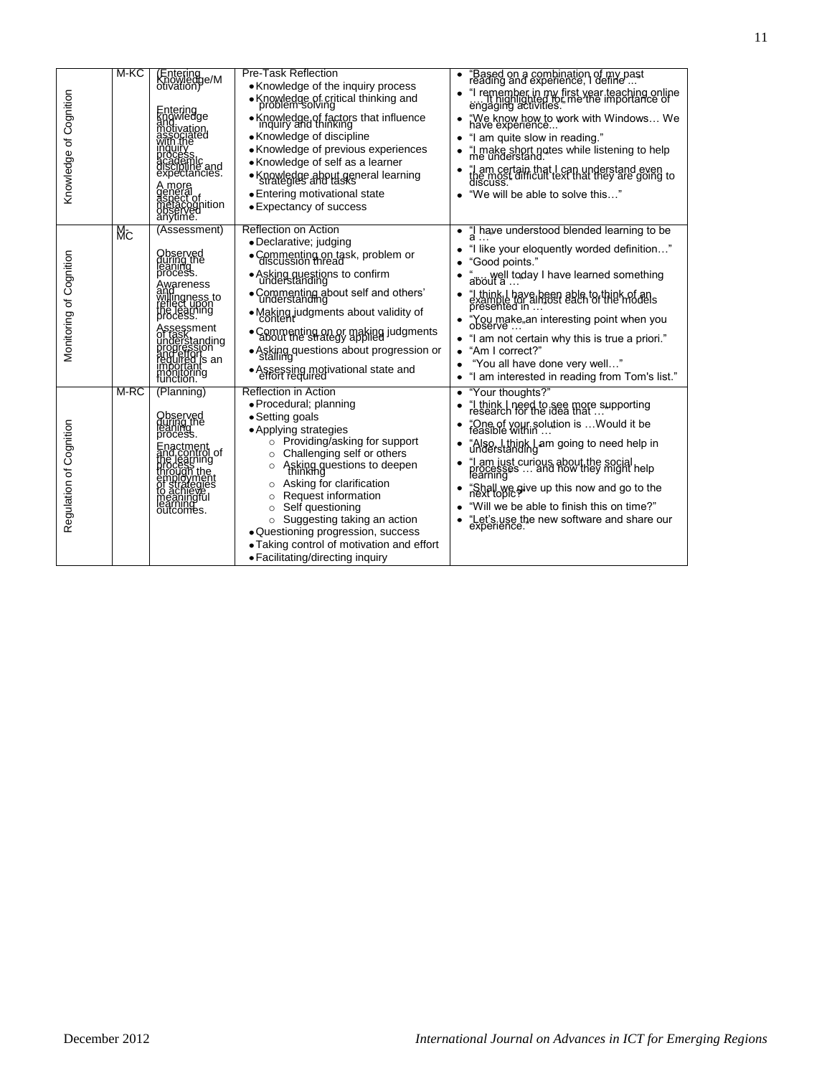| Knowledge of Cognition  | M-KC | (Entering<br>Knowledge/M<br>otivation)<br>Entering<br>Knowledge<br>andivation<br>associated<br>with the<br>mguilly<br>process<br>academic<br>discipline and<br>expectancies.<br>A more<br>general<br>aspect of<br>metacognition<br>anytime.       | <b>Pre-Task Reflection</b><br>• Knowledge of the inquiry process<br>• Knowledge of critical thinking and<br>• Knowledge of factors that influence<br>inquiry and thinking<br>• Knowledge of discipline<br>• Knowledge of previous experiences<br>• Knowledge of self as a learner<br>• Knowledge about general learning<br>strategies and tasks<br>• Entering motivational state<br>• Expectancy of success                                                                                             | "Based on a combination of my past<br>reading and experience, I define<br>"I remember in my first year teaching online<br>engaging activities. The the importance of<br>"We know how to work with Windows We<br>have experience<br>"I am quite slow in reading."<br>"I make short notes while listening to help<br>me understand.<br>"I am certain that I can understand even<br>the most difficult text that they are going to<br>discuss.<br>"We will be able to solve this"<br>٠                   |
|-------------------------|------|---------------------------------------------------------------------------------------------------------------------------------------------------------------------------------------------------------------------------------------------------|---------------------------------------------------------------------------------------------------------------------------------------------------------------------------------------------------------------------------------------------------------------------------------------------------------------------------------------------------------------------------------------------------------------------------------------------------------------------------------------------------------|-------------------------------------------------------------------------------------------------------------------------------------------------------------------------------------------------------------------------------------------------------------------------------------------------------------------------------------------------------------------------------------------------------------------------------------------------------------------------------------------------------|
| Monitoring of Cognition | Mс   | (Assessment)<br>Observed<br>during the<br>leaning<br>Awareness<br>and<br>Willingness to<br>reflect upon<br>the learning<br>process.<br>Assessment<br>Understanding<br>progression<br>anderfolis an<br>reguired is an<br>importants<br>function.ng | Reflection on Action<br>• Declarative; judging<br>• Commenting on task, problem or<br>• Asking questions to confirm<br>understanding<br>• Commenting about self and others'<br>understanding<br>• Making judgments about validity of<br>• Commenting on or making judgments<br>· Asking questions about progression or<br>• Assessing motivational state and<br>effort required                                                                                                                         | "I have understood blended learning to be<br>٠<br>"I like your eloquently worded definition"<br>"Good points."<br>about a<br>"I think I have been able to think of an<br>example for almost each of the models<br>presented in<br>"You make"an interesting point when you<br>observe<br>"I am not certain why this is true a priori."<br>"Am I correct?"<br>"You all have done very well"<br>"I am interested in reading from Tom's list."<br>٠                                                       |
| Regulation of Cognition | M-RC | (Planning)<br>Observed<br>during the<br>leaning<br>Finactment<br>and Learning<br>froggs the<br>production<br>construction<br>fo achieves<br>meaningful<br>meaningful<br>cutcomes.                                                                 | <b>Reflection in Action</b><br>• Procedural; planning<br>• Setting goals<br>• Applying strategies<br>Providing/asking for support<br>$\circ$<br>Challenging self or others<br>$\circ$<br>Asking questions to deepen<br>$\circ$<br>Asking for clarification<br>$\circ$<br>Request information<br>$\circ$<br>Self questioning<br>$\circ$<br>Suggesting taking an action<br>$\circ$<br>• Questioning progression, success<br>• Taking control of motivation and effort<br>· Facilitating/directing inquiry | "Your thoughts?"<br>٠<br>"I think I need to see more supporting<br>research for the idea that<br>۰<br>"One of your solution is  Would it be<br>feasible within<br>٠<br>"Also, I think I am going to need help in<br>understanding<br>٠<br>"  am just curious about the social<br>processes  and how they might help<br>learning"<br>"Shall we give up this now and go to the<br>next topic:"<br>"Will we be able to finish this on time?"<br>"Let's use the new software and share our<br>experience. |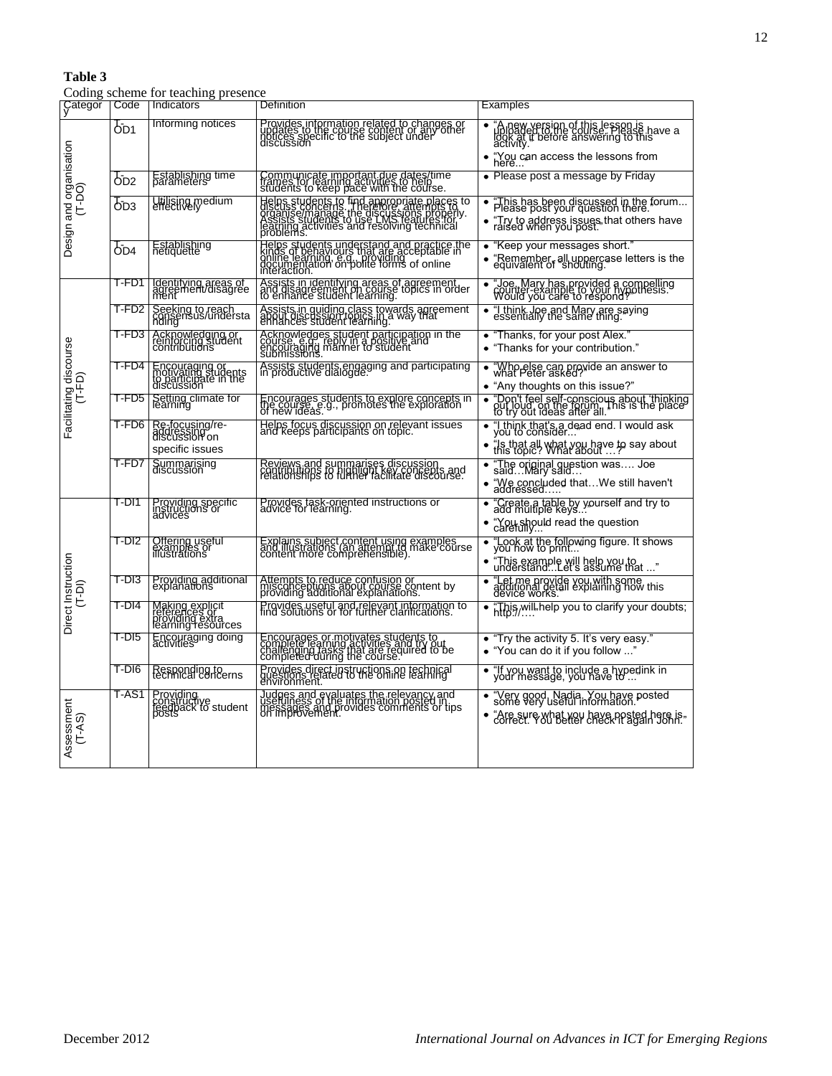# **Table 3**

Coding scheme for teaching presence

| Categor<br>y                      | Code    | Indicators                                                                   | Definition                                                                                                                                                                                           | <b>Examples</b>                                                                                                                                             |
|-----------------------------------|---------|------------------------------------------------------------------------------|------------------------------------------------------------------------------------------------------------------------------------------------------------------------------------------------------|-------------------------------------------------------------------------------------------------------------------------------------------------------------|
|                                   | 6D1     | Informing notices                                                            | Provides information related to changes or<br>updates to the course content or any other<br>niscussion                                                                                               | "A new version of this lesson is<br>uploaded to the course. Hease have a<br>activity."<br>• "You can access the lessons from<br>here                        |
|                                   | ods     | Establishing time                                                            | Communicate important due dates/time<br>frames for learning activities to help<br>students to keep pace with the course.                                                                             | • Please post a message by Friday                                                                                                                           |
| Design and organisation<br>(T-DO) | Орз     | Utilising medium                                                             | Helps students to find appropriate places to<br>organise manage the discussion and places to<br>assists students to use in said appropriate<br>Assists students ond resolving technical<br>problems. | "This has been discussed in the forum<br>Please post your question there.<br>• "Try to address issues that others have<br>raised when you post."            |
|                                   | OD4     | Establishing<br>netiquette                                                   | Helps students understand and practice the<br>kinds of behaviours that are acceptable in<br>documentation on polite forms of online<br>interaction.                                                  | • "Keep your messages short."<br>"Remember, all uppercase letters is the<br>equivalent of shouting.                                                         |
|                                   | T-FD1   | Identifying areas of<br>agreement/disagree<br>ment                           | Assists in identifying areas of agreement<br>and disagreement on course topics in order<br>to enhance student learning.                                                                              | "Joe, Mary has provided a compelling<br>"Gunter-example to your hypothesis"<br>Would you care to respond?"                                                  |
|                                   | T-FD2 I | Seeking to reach<br>consensus/understa                                       | Assists in guiding class towards agreement<br>about discussion topics in a way that<br>enhances student learning.                                                                                    | "I think Joe and Mary are saying<br>essentially the same thing.                                                                                             |
|                                   | T-FD3   | Acknowledging or<br>reinforcing student<br>contributions                     | Acknowledges student participation in the<br>Encouraging manner to student                                                                                                                           | • "Thanks, for your post Alex."<br>• "Thanks for your contribution."                                                                                        |
| Facilitating discourse<br>(T-FD)  | T-FD4   | Encouraging or<br>motivating students<br>to participate in the<br>discussion | Assists students engaging and participating<br>in productive dialogue.                                                                                                                               | "Who else can provide an answer to<br>what Peter asked?"<br>• "Any thoughts on this issue?"                                                                 |
|                                   | T-FD5   | Setting climate for<br>learning                                              | Encourages students to explore concepts in<br>the course, e.g., promotes the exploration<br>of new ideas.                                                                                            | "Don't feel self-conscious about 'thinking<br>out loud, on the forum, his is the place                                                                      |
|                                   | T-FD6   | Re-focusing/re-<br>addressing<br>discussion on<br>specific issues            | Helps focus discussion on relevant issues<br>and keeps participants on topic.                                                                                                                        | "I think that's a dead end. I would ask<br>you to consider<br>"Is that all what you have to say about<br>this topic? What about                             |
|                                   | T-FD7   | Summarising<br>discussion                                                    | Reviews and summarises discussion<br>contributions to highlight key concepts and<br>relationships to further facilitate discourse.                                                                   | "The original question was Joe<br>saidMary said<br>"We concluded thatWe still haven't                                                                       |
|                                   | T-DI1   | Providing specific<br>instructions or<br>advices                             | Provides task-oriented instructions or<br>advice for learning.                                                                                                                                       | "Create a table by yourself and try to<br>add multiple keys<br>"You should read the question<br>carefully"                                                  |
|                                   | T-DI2   | Offering useful<br>examples or<br>illustrations                              | Explains subject content using examples<br>and illustrations (an afternat to make course<br>content more comprehensible).                                                                            | "Look at the following figure. It shows<br>you how to print<br>"This example will help you to<br>understandLet's assume that "                              |
|                                   | T-DI3   | Providing additional<br>explanations                                         | Attempts to reduce confusion or<br>misconceptions about course content by<br>providing additional explanations.                                                                                      | "Let me provide you with some<br>additional detail explaining how this<br>device works.                                                                     |
| Direct Instruction<br>(T-DI)      | T-DI4   | Making explicit<br>references or<br>providing extra<br>learning resources    | Provides useful and relevant information to<br>find solutions or for further clarifications.                                                                                                         | "This will, help you to clarify your doubts;<br>http://                                                                                                     |
|                                   | T-DI5   | Encouraging doing                                                            | Encourages or motivates students to<br>complete learning activities and try out<br>completed during the course.                                                                                      | • "Try the activity 5. It's very easy."<br>• "You can do it if you follow "                                                                                 |
|                                   | T-DI6   | Responding to<br>technical concerns                                          | Provides direct instructions on technical<br>questions related to the online learning<br>environment.                                                                                                | "If you want to include a hyperlink in<br>your message, you have to                                                                                         |
| Assessment<br>(T-AS)              | T-AS1   | Providing<br>constructive<br>feedback to student<br>posts                    | Judges and evaluates the relevancy and<br>useslages and ermidiation posts of tips<br>on improvement.                                                                                                 | "Very good, Nadia. You have posted<br>some very useful information.<br>"Are sure what you have posted here is,<br>correct. You better check it again John." |